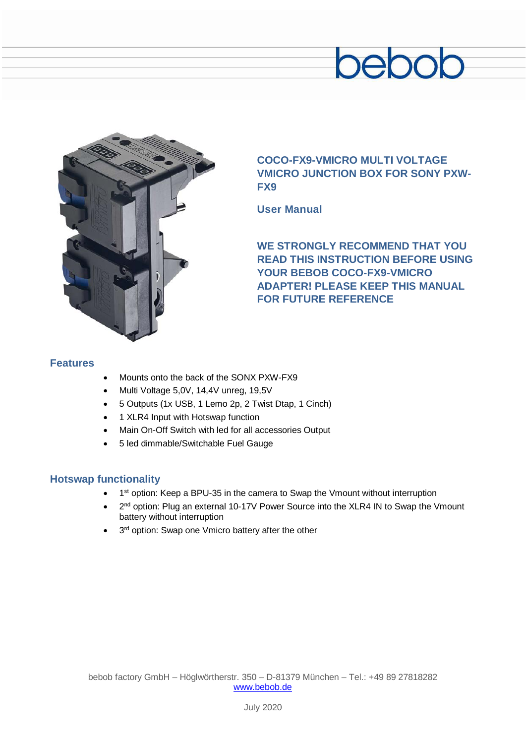# bebob



# **COCO-FX9-VMICRO MULTI VOLTAGE VMICRO JUNCTION BOX FOR SONY PXW-FX9**

**User Manual**

**WE STRONGLY RECOMMEND THAT YOU READ THIS INSTRUCTION BEFORE USING YOUR BEBOB COCO-FX9-VMICRO ADAPTER! PLEASE KEEP THIS MANUAL FOR FUTURE REFERENCE**

### **Features**

- Mounts onto the back of the SONX PXW-FX9
- Multi Voltage 5,0V, 14,4V unreg, 19,5V
- 5 Outputs (1x USB, 1 Lemo 2p, 2 Twist Dtap, 1 Cinch)
- 1 XLR4 Input with Hotswap function
- Main On-Off Switch with led for all accessories Output
- 5 led dimmable/Switchable Fuel Gauge

# **Hotswap functionality**

- 1<sup>st</sup> option: Keep a BPU-35 in the camera to Swap the Vmount without interruption
- 2<sup>nd</sup> option: Plug an external 10-17V Power Source into the XLR4 IN to Swap the Vmount battery without interruption
- 3<sup>rd</sup> option: Swap one Vmicro battery after the other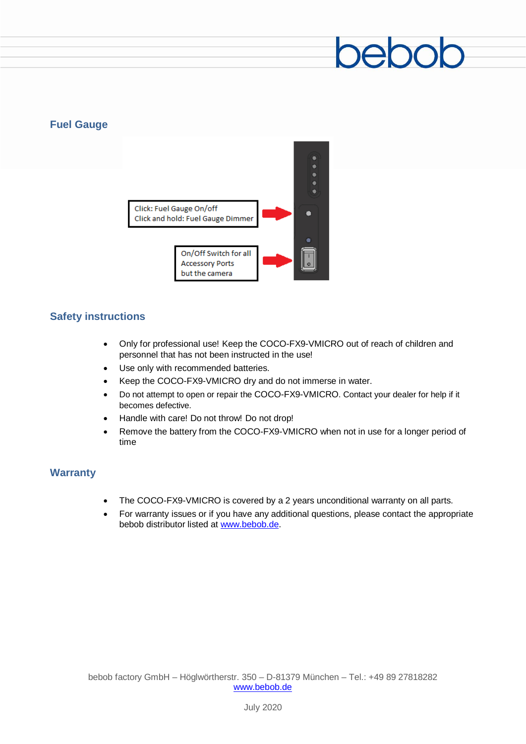## **Fuel Gauge**



### **Safety instructions**

- Only for professional use! Keep the COCO-FX9-VMICRO out of reach of children and personnel that has not been instructed in the use!
- Use only with recommended batteries.
- Keep the COCO-FX9-VMICRO dry and do not immerse in water.
- Do not attempt to open or repair the COCO-FX9-VMICRO. Contact your dealer for help if it becomes defective.
- Handle with care! Do not throw! Do not drop!
- Remove the battery from the COCO-FX9-VMICRO when not in use for a longer period of time

### **Warranty**

- The COCO-FX9-VMICRO is covered by a 2 years unconditional warranty on all parts.
- For warranty issues or if you have any additional questions, please contact the appropriate bebob distributor listed at [www.bebob.de.](http://www.bebob.de/)